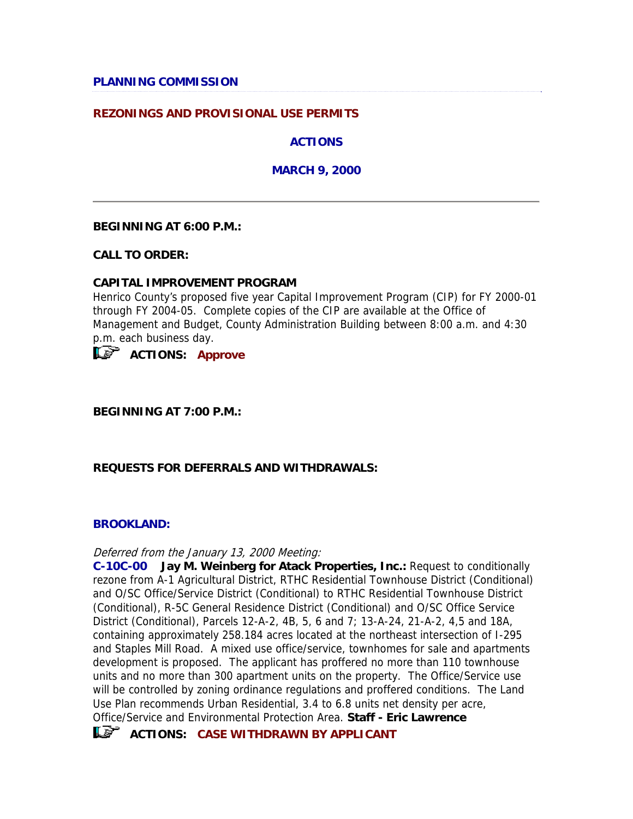## **PLANNING COMMISSION**

## **REZONINGS AND PROVISIONAL USE PERMITS**

**ACTIONS** 

**MARCH 9, 2000** 

#### **BEGINNING AT 6:00 P.M.:**

**CALL TO ORDER:**

#### **CAPITAL IMPROVEMENT PROGRAM**

Henrico County's proposed five year Capital Improvement Program (CIP) for FY 2000-01 through FY 2004-05. Complete copies of the CIP are available at the Office of Management and Budget, County Administration Building between 8:00 a.m. and 4:30 p.m. each business day.

**ACTIONS: Approve**

**BEGINNING AT 7:00 P.M.:**

### **REQUESTS FOR DEFERRALS AND WITHDRAWALS:**

#### **BROOKLAND:**

Deferred from the January 13, 2000 Meeting:

**C-10C-00 Jay M. Weinberg for Atack Properties, Inc.:** Request to conditionally rezone from A-1 Agricultural District, RTHC Residential Townhouse District (Conditional) and O/SC Office/Service District (Conditional) to RTHC Residential Townhouse District (Conditional), R-5C General Residence District (Conditional) and O/SC Office Service District (Conditional), Parcels 12-A-2, 4B, 5, 6 and 7; 13-A-24, 21-A-2, 4,5 and 18A, containing approximately 258.184 acres located at the northeast intersection of I-295 and Staples Mill Road. A mixed use office/service, townhomes for sale and apartments development is proposed. The applicant has proffered no more than 110 townhouse units and no more than 300 apartment units on the property. The Office/Service use will be controlled by zoning ordinance regulations and proffered conditions. The Land Use Plan recommends Urban Residential, 3.4 to 6.8 units net density per acre, Office/Service and Environmental Protection Area. **Staff - Eric Lawrence**

**ACTIONS: CASE WITHDRAWN BY APPLICANT**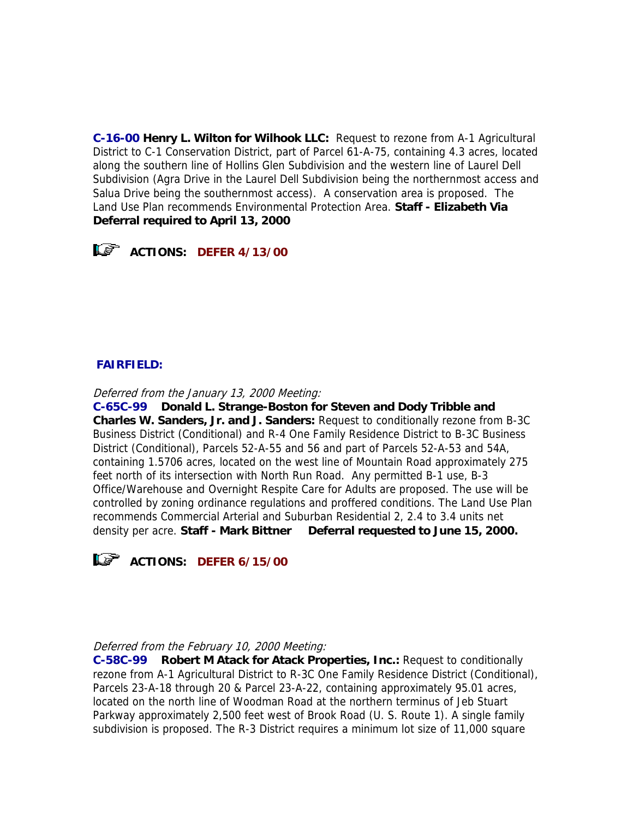**C-16-00 Henry L. Wilton for Wilhook LLC:** Request to rezone from A-1 Agricultural District to C-1 Conservation District, part of Parcel 61-A-75, containing 4.3 acres, located along the southern line of Hollins Glen Subdivision and the western line of Laurel Dell Subdivision (Agra Drive in the Laurel Dell Subdivision being the northernmost access and Salua Drive being the southernmost access). A conservation area is proposed. The Land Use Plan recommends Environmental Protection Area. **Staff - Elizabeth Via Deferral required to April 13, 2000**



## **FAIRFIELD:**

Deferred from the January 13, 2000 Meeting:

**C-65C-99 Donald L. Strange-Boston for Steven and Dody Tribble and Charles W. Sanders, Jr. and J. Sanders:** Request to conditionally rezone from B-3C Business District (Conditional) and R-4 One Family Residence District to B-3C Business District (Conditional), Parcels 52-A-55 and 56 and part of Parcels 52-A-53 and 54A, containing 1.5706 acres, located on the west line of Mountain Road approximately 275 feet north of its intersection with North Run Road. Any permitted B-1 use, B-3 Office/Warehouse and Overnight Respite Care for Adults are proposed. The use will be controlled by zoning ordinance regulations and proffered conditions. The Land Use Plan recommends Commercial Arterial and Suburban Residential 2, 2.4 to 3.4 units net density per acre. **Staff - Mark Bittner Deferral requested to June 15, 2000.** 



**ACTIONS: DEFER 6/15/00** 

### Deferred from the February 10, 2000 Meeting:

**C-58C-99 Robert M Atack for Atack Properties, Inc.:** Request to conditionally rezone from A-1 Agricultural District to R-3C One Family Residence District (Conditional), Parcels 23-A-18 through 20 & Parcel 23-A-22, containing approximately 95.01 acres, located on the north line of Woodman Road at the northern terminus of Jeb Stuart Parkway approximately 2,500 feet west of Brook Road (U. S. Route 1). A single family subdivision is proposed. The R-3 District requires a minimum lot size of 11,000 square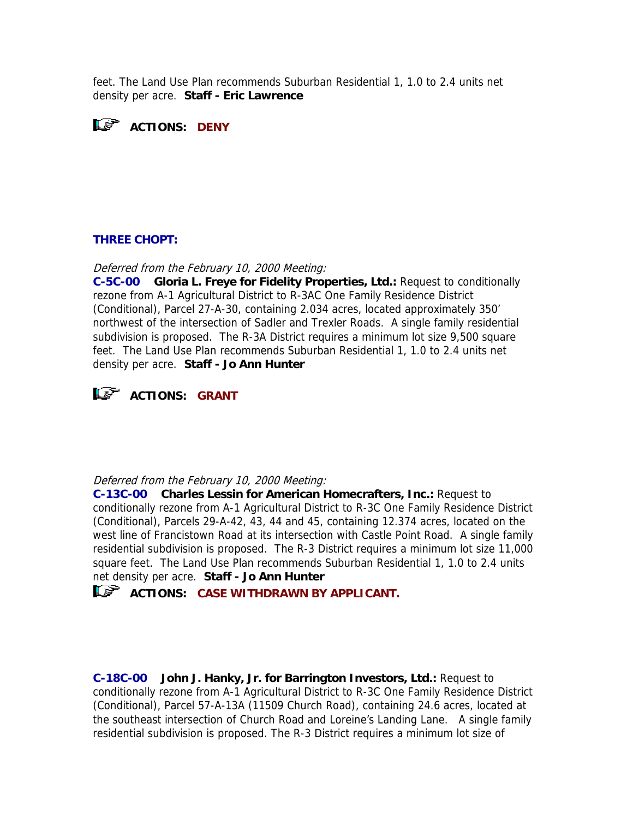feet. The Land Use Plan recommends Suburban Residential 1, 1.0 to 2.4 units net density per acre. **Staff - Eric Lawrence**



### **THREE CHOPT:**

Deferred from the February 10, 2000 Meeting:

**C-5C-00 Gloria L. Freye for Fidelity Properties, Ltd.:** Request to conditionally rezone from A-1 Agricultural District to R-3AC One Family Residence District (Conditional), Parcel 27-A-30, containing 2.034 acres, located approximately 350' northwest of the intersection of Sadler and Trexler Roads. A single family residential subdivision is proposed. The R-3A District requires a minimum lot size 9,500 square feet. The Land Use Plan recommends Suburban Residential 1, 1.0 to 2.4 units net density per acre. **Staff - Jo Ann Hunter**



#### Deferred from the February 10, 2000 Meeting:

**C-13C-00 Charles Lessin for American Homecrafters, Inc.:** Request to conditionally rezone from A-1 Agricultural District to R-3C One Family Residence District (Conditional), Parcels 29-A-42, 43, 44 and 45, containing 12.374 acres, located on the west line of Francistown Road at its intersection with Castle Point Road. A single family residential subdivision is proposed. The R-3 District requires a minimum lot size 11,000 square feet. The Land Use Plan recommends Suburban Residential 1, 1.0 to 2.4 units net density per acre. **Staff - Jo Ann Hunter**

**ACTIONS: CASE WITHDRAWN BY APPLICANT.** 

**C-18C-00 John J. Hanky, Jr. for Barrington Investors, Ltd.:** Request to conditionally rezone from A-1 Agricultural District to R-3C One Family Residence District (Conditional), Parcel 57-A-13A (11509 Church Road), containing 24.6 acres, located at the southeast intersection of Church Road and Loreine's Landing Lane. A single family residential subdivision is proposed. The R-3 District requires a minimum lot size of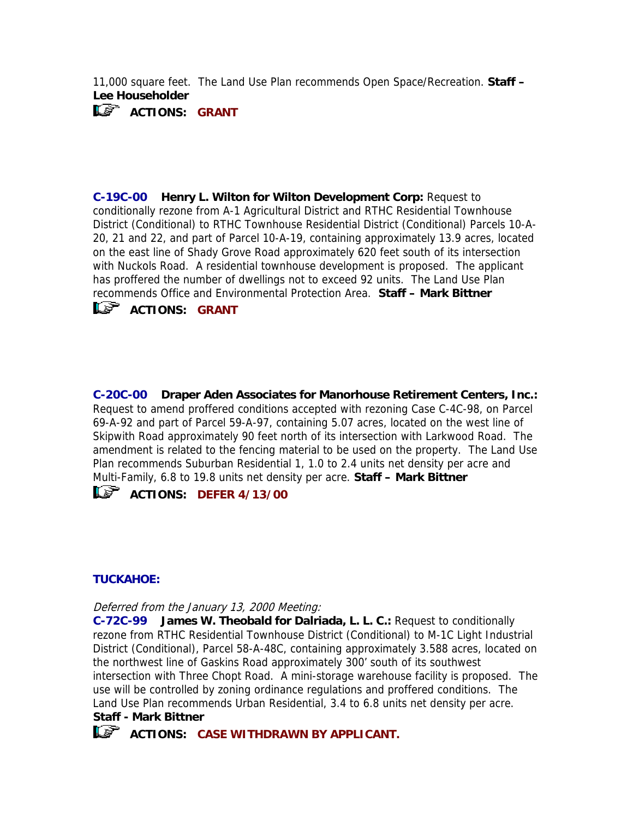11,000 square feet. The Land Use Plan recommends Open Space/Recreation. **Staff – Lee Householder**



**C-19C-00 Henry L. Wilton for Wilton Development Corp:** Request to conditionally rezone from A-1 Agricultural District and RTHC Residential Townhouse District (Conditional) to RTHC Townhouse Residential District (Conditional) Parcels 10-A-20, 21 and 22, and part of Parcel 10-A-19, containing approximately 13.9 acres, located on the east line of Shady Grove Road approximately 620 feet south of its intersection with Nuckols Road. A residential townhouse development is proposed. The applicant has proffered the number of dwellings not to exceed 92 units. The Land Use Plan recommends Office and Environmental Protection Area. **Staff – Mark Bittner**



 $\mathbf{L}$ <sup>S</sup> ACTIONS: GRANT

**C-20C-00 Draper Aden Associates for Manorhouse Retirement Centers, Inc.:**  Request to amend proffered conditions accepted with rezoning Case C-4C-98, on Parcel 69-A-92 and part of Parcel 59-A-97, containing 5.07 acres, located on the west line of Skipwith Road approximately 90 feet north of its intersection with Larkwood Road. The amendment is related to the fencing material to be used on the property. The Land Use Plan recommends Suburban Residential 1, 1.0 to 2.4 units net density per acre and Multi-Family, 6.8 to 19.8 units net density per acre. **Staff – Mark Bittner**

**ACTIONS: DEFER 4/13/00** 

## **TUCKAHOE:**

Deferred from the January 13, 2000 Meeting:

**C-72C-99 James W. Theobald for Dalriada, L. L. C.:** Request to conditionally rezone from RTHC Residential Townhouse District (Conditional) to M-1C Light Industrial District (Conditional), Parcel 58-A-48C, containing approximately 3.588 acres, located on the northwest line of Gaskins Road approximately 300' south of its southwest intersection with Three Chopt Road. A mini-storage warehouse facility is proposed. The use will be controlled by zoning ordinance regulations and proffered conditions. The Land Use Plan recommends Urban Residential, 3.4 to 6.8 units net density per acre.

## **Staff - Mark Bittner**

**ACTIONS: CASE WITHDRAWN BY APPLICANT.**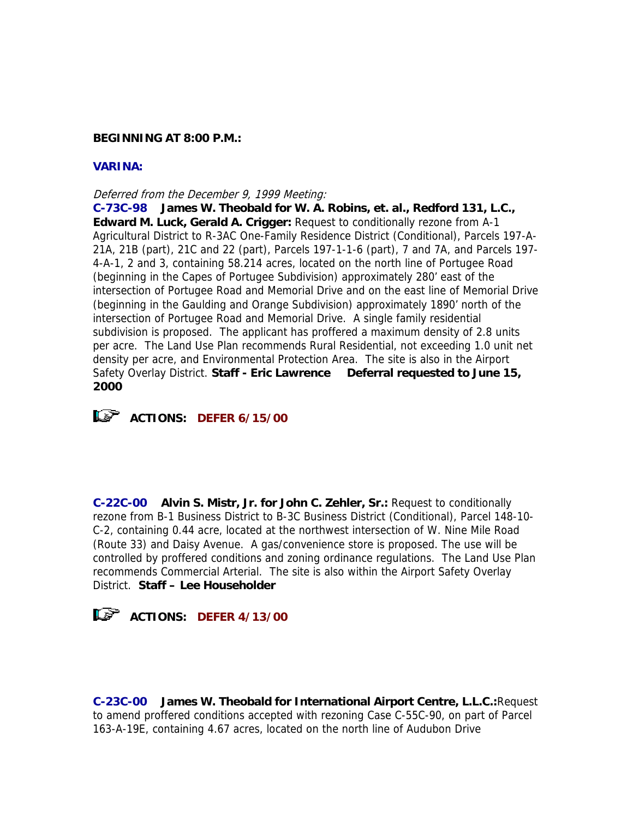### **BEGINNING AT 8:00 P.M.:**

## **VARINA:**

#### Deferred from the December 9, 1999 Meeting:

**C-73C-98 James W. Theobald for W. A. Robins, et. al., Redford 131, L.C., Edward M. Luck, Gerald A. Crigger:** Request to conditionally rezone from A-1 Agricultural District to R-3AC One-Family Residence District (Conditional), Parcels 197-A-21A, 21B (part), 21C and 22 (part), Parcels 197-1-1-6 (part), 7 and 7A, and Parcels 197- 4-A-1, 2 and 3, containing 58.214 acres, located on the north line of Portugee Road (beginning in the Capes of Portugee Subdivision) approximately 280' east of the intersection of Portugee Road and Memorial Drive and on the east line of Memorial Drive (beginning in the Gaulding and Orange Subdivision) approximately 1890' north of the intersection of Portugee Road and Memorial Drive. A single family residential subdivision is proposed. The applicant has proffered a maximum density of 2.8 units per acre. The Land Use Plan recommends Rural Residential, not exceeding 1.0 unit net density per acre, and Environmental Protection Area. The site is also in the Airport Safety Overlay District. **Staff - Eric Lawrence Deferral requested to June 15, 2000**



# **ACTIONS: DEFER 6/15/00**

**C-22C-00 Alvin S. Mistr, Jr. for John C. Zehler, Sr.:** Request to conditionally rezone from B-1 Business District to B-3C Business District (Conditional), Parcel 148-10- C-2, containing 0.44 acre, located at the northwest intersection of W. Nine Mile Road (Route 33) and Daisy Avenue. A gas/convenience store is proposed. The use will be controlled by proffered conditions and zoning ordinance regulations. The Land Use Plan recommends Commercial Arterial. The site is also within the Airport Safety Overlay District. **Staff – Lee Householder**



**C-23C-00 James W. Theobald for International Airport Centre, L.L.C.:**Request to amend proffered conditions accepted with rezoning Case C-55C-90, on part of Parcel 163-A-19E, containing 4.67 acres, located on the north line of Audubon Drive